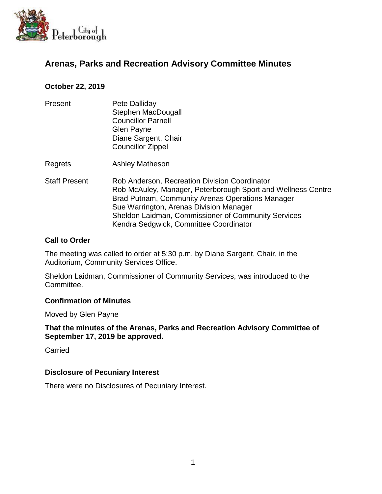

# **Arenas, Parks and Recreation Advisory Committee Minutes**

## **October 22, 2019**

- Present Pete Dalliday Stephen MacDougall Councillor Parnell Glen Payne Diane Sargent, Chair Councillor Zippel
- Regrets Ashley Matheson
- Staff Present Rob Anderson, Recreation Division Coordinator Rob McAuley, Manager, Peterborough Sport and Wellness Centre Brad Putnam, Community Arenas Operations Manager Sue Warrington, Arenas Division Manager Sheldon Laidman, Commissioner of Community Services Kendra Sedgwick, Committee Coordinator

### **Call to Order**

The meeting was called to order at 5:30 p.m. by Diane Sargent, Chair, in the Auditorium, Community Services Office.

Sheldon Laidman, Commissioner of Community Services, was introduced to the Committee.

### **Confirmation of Minutes**

Moved by Glen Payne

**That the minutes of the Arenas, Parks and Recreation Advisory Committee of September 17, 2019 be approved.**

Carried

### **Disclosure of Pecuniary Interest**

There were no Disclosures of Pecuniary Interest.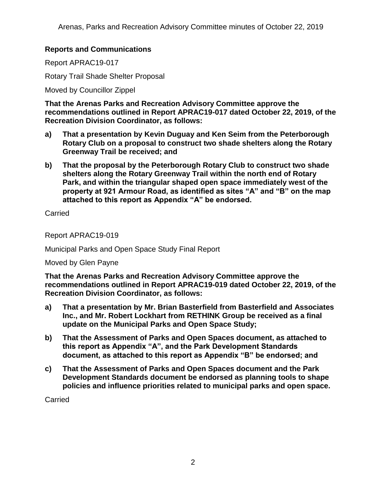## **Reports and Communications**

Report APRAC19-017

Rotary Trail Shade Shelter Proposal

Moved by Councillor Zippel

**That the Arenas Parks and Recreation Advisory Committee approve the recommendations outlined in Report APRAC19-017 dated October 22, 2019, of the Recreation Division Coordinator, as follows:**

- **a) That a presentation by Kevin Duguay and Ken Seim from the Peterborough Rotary Club on a proposal to construct two shade shelters along the Rotary Greenway Trail be received; and**
- **b) That the proposal by the Peterborough Rotary Club to construct two shade shelters along the Rotary Greenway Trail within the north end of Rotary Park, and within the triangular shaped open space immediately west of the property at 921 Armour Road, as identified as sites "A" and "B" on the map attached to this report as Appendix "A" be endorsed.**

Carried

Report APRAC19-019

Municipal Parks and Open Space Study Final Report

Moved by Glen Payne

**That the Arenas Parks and Recreation Advisory Committee approve the recommendations outlined in Report APRAC19-019 dated October 22, 2019, of the Recreation Division Coordinator, as follows:**

- **a) That a presentation by Mr. Brian Basterfield from Basterfield and Associates Inc., and Mr. Robert Lockhart from RETHINK Group be received as a final update on the Municipal Parks and Open Space Study;**
- **b) That the Assessment of Parks and Open Spaces document, as attached to this report as Appendix "A", and the Park Development Standards document, as attached to this report as Appendix "B" be endorsed; and**
- **c) That the Assessment of Parks and Open Spaces document and the Park Development Standards document be endorsed as planning tools to shape policies and influence priorities related to municipal parks and open space.**

Carried